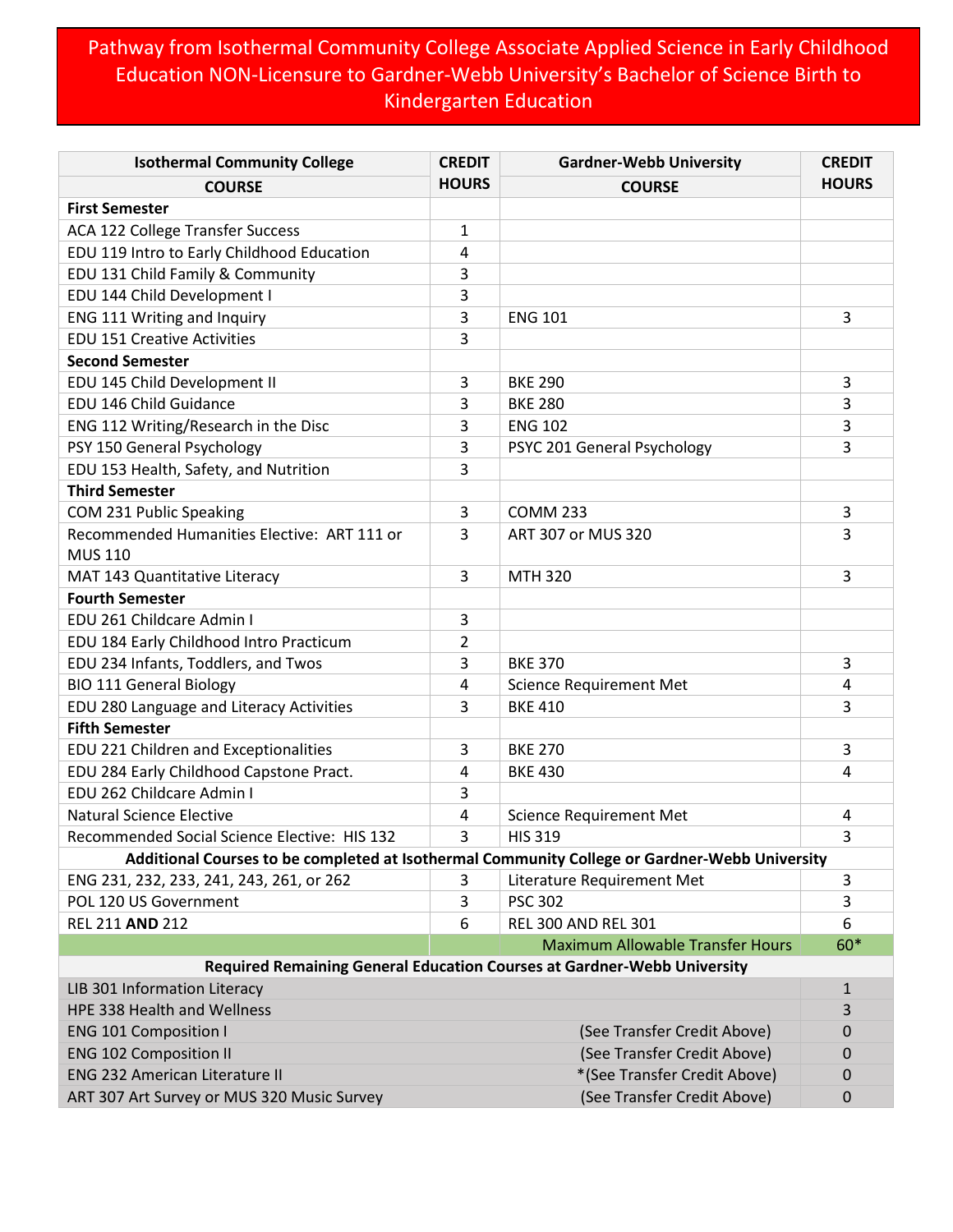## Pathway from Isothermal Community College Associate Applied Science in Early Childhood Education NON-Licensure to Gardner-Webb University's Bachelor of Science Birth to Kindergarten Education

| <b>Isothermal Community College</b>                                                           | <b>CREDIT</b> | <b>Gardner-Webb University</b>          | <b>CREDIT</b> |  |
|-----------------------------------------------------------------------------------------------|---------------|-----------------------------------------|---------------|--|
| <b>COURSE</b>                                                                                 | <b>HOURS</b>  | <b>COURSE</b>                           | <b>HOURS</b>  |  |
| <b>First Semester</b>                                                                         |               |                                         |               |  |
| <b>ACA 122 College Transfer Success</b>                                                       | 1             |                                         |               |  |
| EDU 119 Intro to Early Childhood Education                                                    | 4             |                                         |               |  |
| EDU 131 Child Family & Community                                                              | 3             |                                         |               |  |
| EDU 144 Child Development I                                                                   | 3             |                                         |               |  |
| ENG 111 Writing and Inquiry                                                                   | 3             | <b>ENG 101</b>                          | 3             |  |
| <b>EDU 151 Creative Activities</b>                                                            | 3             |                                         |               |  |
| <b>Second Semester</b>                                                                        |               |                                         |               |  |
| EDU 145 Child Development II                                                                  | 3             | <b>BKE 290</b>                          | 3             |  |
| EDU 146 Child Guidance                                                                        | 3             | <b>BKE 280</b>                          | 3             |  |
| ENG 112 Writing/Research in the Disc                                                          | 3             | <b>ENG 102</b>                          | 3             |  |
| PSY 150 General Psychology                                                                    | 3             | PSYC 201 General Psychology             | 3             |  |
| EDU 153 Health, Safety, and Nutrition                                                         | 3             |                                         |               |  |
| <b>Third Semester</b>                                                                         |               |                                         |               |  |
| COM 231 Public Speaking                                                                       | 3             | <b>COMM 233</b>                         | 3             |  |
| Recommended Humanities Elective: ART 111 or                                                   | 3             | ART 307 or MUS 320                      | 3             |  |
| <b>MUS 110</b>                                                                                |               |                                         |               |  |
| MAT 143 Quantitative Literacy                                                                 | 3             | <b>MTH 320</b>                          | 3             |  |
| <b>Fourth Semester</b>                                                                        |               |                                         |               |  |
| EDU 261 Childcare Admin I                                                                     | 3             |                                         |               |  |
| EDU 184 Early Childhood Intro Practicum                                                       | 2             |                                         |               |  |
| EDU 234 Infants, Toddlers, and Twos                                                           | 3             | <b>BKE 370</b>                          | 3             |  |
| <b>BIO 111 General Biology</b>                                                                | 4             | <b>Science Requirement Met</b>          | 4             |  |
| EDU 280 Language and Literacy Activities                                                      | 3             | <b>BKE 410</b>                          | 3             |  |
| <b>Fifth Semester</b>                                                                         |               |                                         |               |  |
| EDU 221 Children and Exceptionalities                                                         | 3             | <b>BKE 270</b>                          | 3             |  |
| EDU 284 Early Childhood Capstone Pract.                                                       | 4             | <b>BKE 430</b>                          | 4             |  |
| EDU 262 Childcare Admin I                                                                     | 3             |                                         |               |  |
| <b>Natural Science Elective</b>                                                               | 4             | <b>Science Requirement Met</b>          | 4             |  |
| Recommended Social Science Elective: HIS 132                                                  | 3             | <b>HIS 319</b>                          | 3             |  |
| Additional Courses to be completed at Isothermal Community College or Gardner-Webb University |               |                                         |               |  |
| ENG 231, 232, 233, 241, 243, 261, or 262                                                      | 3             | Literature Requirement Met              | 3             |  |
| POL 120 US Government                                                                         | 3             | <b>PSC 302</b>                          | 3             |  |
| <b>REL 211 AND 212</b>                                                                        | 6             | <b>REL 300 AND REL 301</b>              | 6             |  |
|                                                                                               |               | <b>Maximum Allowable Transfer Hours</b> | 60*           |  |
| Required Remaining General Education Courses at Gardner-Webb University                       |               |                                         |               |  |
| LIB 301 Information Literacy                                                                  |               |                                         | 1             |  |
| HPE 338 Health and Wellness                                                                   |               |                                         | 3             |  |
| <b>ENG 101 Composition I</b>                                                                  |               | (See Transfer Credit Above)             | 0             |  |
| <b>ENG 102 Composition II</b>                                                                 |               | (See Transfer Credit Above)             | 0             |  |
| <b>ENG 232 American Literature II</b>                                                         |               | *(See Transfer Credit Above)            | 0             |  |
| ART 307 Art Survey or MUS 320 Music Survey                                                    |               | (See Transfer Credit Above)             | 0             |  |